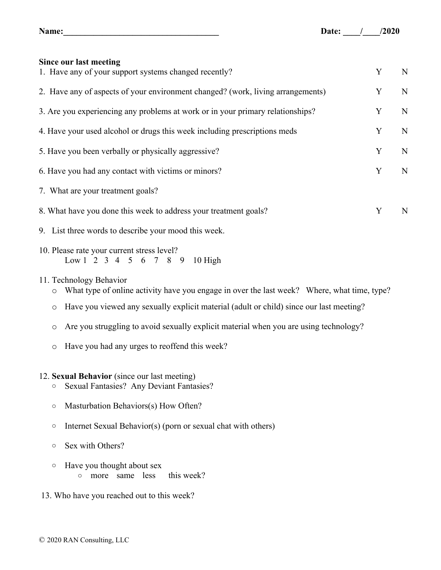| Since our last meeting                                                          |   |             |
|---------------------------------------------------------------------------------|---|-------------|
| 1. Have any of your support systems changed recently?                           | Y | N           |
| 2. Have any of aspects of your environment changed? (work, living arrangements) | Y | N           |
| 3. Are you experiencing any problems at work or in your primary relationships?  | Y | $\mathbf N$ |
| 4. Have your used alcohol or drugs this week including prescriptions meds       | Y | N           |
| 5. Have you been verbally or physically aggressive?                             | Y | N           |
| 6. Have you had any contact with victims or minors?                             | Y | N           |
| 7. What are your treatment goals?                                               |   |             |
| 8. What have you done this week to address your treatment goals?                | Y | N           |
| 9. List three words to describe your mood this week.                            |   |             |
| 10. Please rate your current stress level?<br>Low 1 2 3 4 5 6 7 8 9 10 High     |   |             |

## 11. Technology Behavior

- o What type of online activity have you engage in over the last week? Where, what time, type?
- o Have you viewed any sexually explicit material (adult or child) since our last meeting?
- o Are you struggling to avoid sexually explicit material when you are using technology?
- o Have you had any urges to reoffend this week?

## 12. **Sexual Behavior** (since our last meeting)

- o Sexual Fantasies? Any Deviant Fantasies?
- o Masturbation Behaviors(s) How Often?
- $\circ$  Internet Sexual Behavior(s) (porn or sexual chat with others)
- o Sex with Others?
- o Have you thought about sex o more same less this week?
- 13. Who have you reached out to this week?